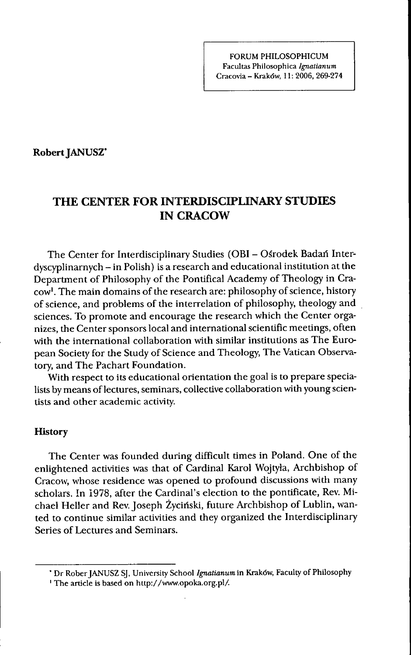#### FORUM PHILOSOPHICUM Facultas Philosophica *Ignalianum* Cracovia - Krakdw, 11: 2006, 269-274

**Robert JANUSZ\***

# THE CENTER FOR INTERDISCIPLINARY STUDIES IN CRACOW

The Center for Interdisciplinary Studies (OBI - Osrodek Badan Interdyscyplinarnych - in Polish) is a research and educational institution at the Department of Philosophy of the Pontifical Academy of Theology in Cracow'. The main domains of the research are: philosophy of science, history of science, and problems of the interrelation of philosophy, theology and sciences. To promote and encourage the research which the Center organizes, the Center sponsors local and international scientific meetings, often with the international collaboration with similar institutions as The European Society for the Study of Science and Theology, The Vatican Observatory, and The Pachart Foundation.

With respect to its educational orientation the goal is to prepare specialists by means of lectures, seminars, collective collaboration with young scientists and other academic activity.

### **History**

The Center was founded during difficult times in Poland. One of the enlightened activities was that of Cardinal Karol Wojtyla, Archbishop of Cracow, whose residence was opened to profound discussions with many scholars. In 1978, after the Cardinal's election to the pontificate. Rev. Michael Heller and Rev. Joseph Zyciriski, future Archbishop of Lublin, wanted to continue similar activities and they organized the Interdisciplinary Series of Lectures and Seminars.

<sup>•</sup> Dr Rober JANUSZ SJ, University School *Ignatianum* in Krakdw, Faculty of Philosophy

<sup>&#</sup>x27; The article is based on http://www.opoka.org.pl/.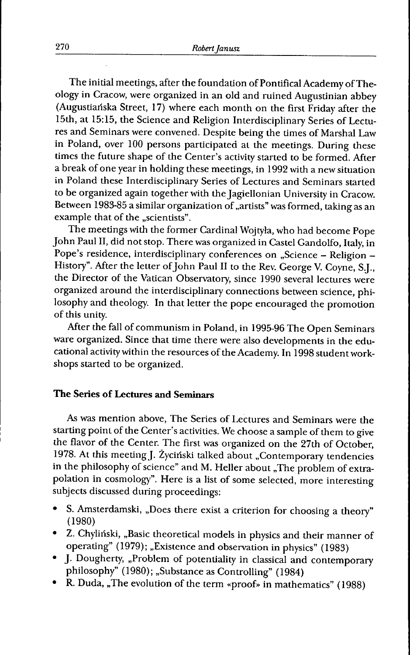The initial meetings, after the foundation of Pontifical Academy of Theology in Cracow, were organized in an old and ruined Augustinian abbey (Augustiariska Street, 17) where each month on the first Friday after the 15th, at 15:15, the Science and Religion Interdisciplinary Series of Lectures and Seminars were convened. Despite being the times of Marshal Law in Poland, over 100 persons participated at the meetings. During these times the future shape of the Center's activity started to be formed. After a break of one year in holding these meetings, in 1992 with a new situation in Poland these Interdisciplinary Series of Lectures and Seminars started to be organized again together with the Jagiellonian University in Cracow. Between 1983-85 a similar organization of "artists" was formed, taking as an example that of the "scientists".

The meetings with the former Cardinal Wojtyla, who had become Pope John Paul II. did not stop. There was organized in Castel Gandolfo, Italy, in Pope's residence, interdisciplinary conferences on "Science - Religion -History". After the letter of John Paul II to the Rev. George V. Coyne, S.J., the Director of the Vatican Observatory, since 1990 several lectures were organized around the interdisciplinary connections between science, philosophy and theology. In that letter the pope encouraged the promotion of this unity.

After the fall of communism in Poland, in 1995-96 The Open Seminars ware organized. Since that time there were also developments in the educational activity within the resources of the Academy. In 1998 student workshops started to be organized.

### **The Series of Lectures and Seminars**

As was mention above. The Series of Lectures and Seminars were the starting point of the Center's activities. We choose a sample of them to give the flavor of the Center. The first was organized on the 27th of October, 1978. At this meeting J. Życiński talked about "Contemporary tendencies in the philosophy of science" and M. Heller about "The problem of extrapolation in cosmology". Here is a list of some selected, more interesting subjects discussed during proceedings:

- S. Amsterdamski. ..Does there exist a criterion for choosing a theory" (1980)
- Z. Chyliński, "Basic theoretical models in physics and their manner of operating" (1979); "Existence and observation in physics" (1983)
- J. Dougherty, ..Problem of potentiality in classical and contemporary philosophy" (1980); ..Substance as Controlling" (1984)
- R. Duda, "The evolution of the term «proof» in mathematics" (1988)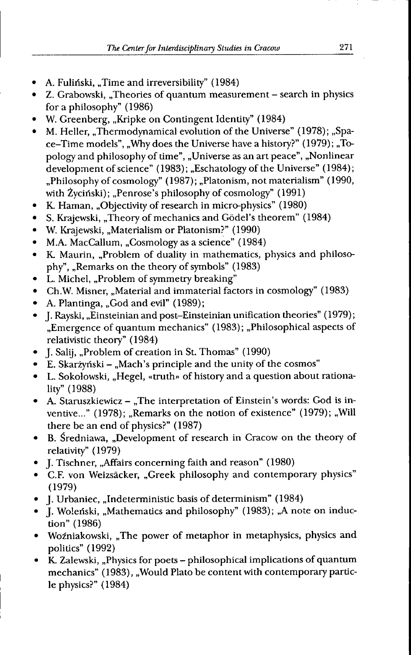- A. Fuliński, "Time and irreversibility" (1984)
- Z. Grabowski, "Theories of quantum measurement search in physics for a philosophy" (1986)
- W. Greenberg, "Kripke on Contingent Identity" (1984)
- M. Heller, "Thermodynamical evolution of the Universe" (1978); "Space-Time models", "Why does the Universe have a history?" (1979); "Topology and philosophy of time", "Universe as an art peace", "Nonlinear development of science" (1983); "Eschatology of the Universe" (1984); ..Philosophy of cosmology" (1987); ,,Platonism, not materialism" (1990, with Życiński); "Penrose's philosophy of cosmology" (1991)
- K. Haman, "Objectivity of research in micro-physics" (1980)  $\bullet$
- S. Krajewski, "Theory of mechanics and Gödel's theorem" (1984)
- W. Krajewski, "Materialism or Platonism?" (1990)
- M.A. MacCallum, "Cosmology as a science" (1984)  $\bullet$
- K. Maurin, "Problem of duality in mathematics, physics and philoso- $\bullet$ phy", "Remarks on the theory of symbols" (1983)
- L. Michel, "Problem of symmetry breaking"
- Ch.W. Misner, "Material and immaterial factors in cosmology" (1983)
- A. Plantinga, "God and evil" (1989);  $\bullet$
- J. Rayski. ..Einsteinian and post-Einsteinian unification theories" (1979); "Emergence of quantum mechanics" (1983); "Philosophical aspects of relativistic theory" (1984)
- J. Salij, "Problem of creation in St. Thomas" (1990)
- E. Skarżyński "Mach's principle and the unity of the cosmos"  $\bullet$
- L. Sokolowski, ..Hegel, «truth» of history and a question about rationality" (1988)
- A. Staruszkiewicz "The interpretation of Einstein's words: God is inventive..." (1978); "Remarks on the notion of existence" (1979); "Will there be an end of physics?" (1987)
- B. Sredniawa, "Development of research in Cracow on the theory of relativity" (1979)
- J. Tischner. ..Affairs concerning faith and reason" (1980)
- C.F. von Weizsacker, ..Greek philosophy and contemporary physics" (1979)
- J. Urbaniec. ..Indeterministic basis of determinism" (1984)
- J. Woleński, "Mathematics and philosophy" (1983); "A note on induction" (1986)
- Woźniakowski, "The power of metaphor in metaphysics, physics and politics" (1992)
- K. Zalewski. ,,Physics for poets philosophical implications of quantum mechanics" (1983), "Would Plato be content with contemporary particle physics?" (1984)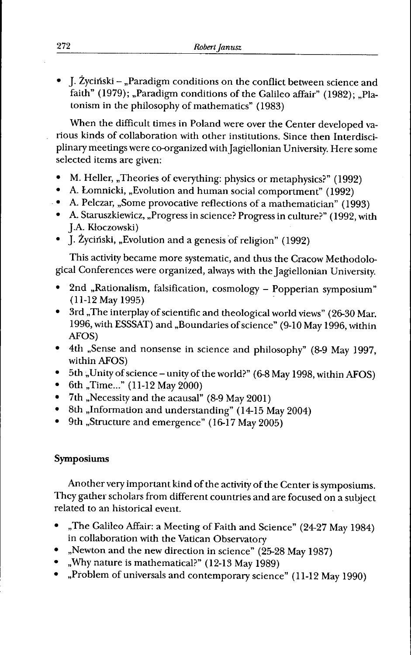• J. Zycinski - ,,Paradigm conditions on the conflict between science and faith" (1979); "Paradigm conditions of the Galileo affair" (1982); "Platonism in the philosophy of mathematics" (1983)

When the difficult times in Poland were over the Center developed various kinds of collaboration with other institutions. Since then Interdisciplinary meetings were co-organized with Jagiellonian University. Here some selected items are given:

- M. Heller, "Theories of everything: physics or metaphysics?" (1992)
- A. Lomnicki, ,,Evolution and human social comportment" (1992)
- A. Pelczar, ,,Some provocative reflections of a mathematician" (1993)
- A. Staruszkiewicz, ,,Progress in science? Progress in culture?" (1992, with J.A. Kloczowski)
- J. Zycinski, ,,EvoIution and a genesis of religion" (1992)

This activity became more systematic, and thus the Cracow Methodological Conferences were organized, always with the Jagiellonian University.

- 2nd ,,Rationalism, falsification, cosmology Popperian symposium" (11-12 May 1995)
- 3rd ,,The interplay of scientific and theological world views" (26-30 Mar. 1996, with ESSSAT) and ,,Boundaries of science" (9-10 May 1996, within AFOS)
- 4tli ,,Sense and nonsense in science and philosophy" (8-9 May 1997, within AFOS)
- 5th ,,Unity of science unity of the world?" (6-8 May 1998, within AFOS)
- 6th ,,Time..." (11-12 May 2000)
- 7th ,,Necessity and the acausal" (8-9 May 2001)
- 8th "Information and understanding" (14-15 May 2004)
- 9th "Structure and emergence" (16-17 May 2005)

## **Symposiums**

Another very important kind of the activity of the Center is symposiums. They gather scholars from different countries and are focused on a subject related to an historical event.

- ,,The Galileo Affair: a Meeting of Faith and Science" (24-27 May 1984) in collaboration with the Vatican Observatory
- ,,Newton and the new direction in science" (25-28 May 1987)
- ,,Why nature is mathematical?" (12-13 May 1989)
- ,,Problem of universals and contemporary science" (11-12 May 1990)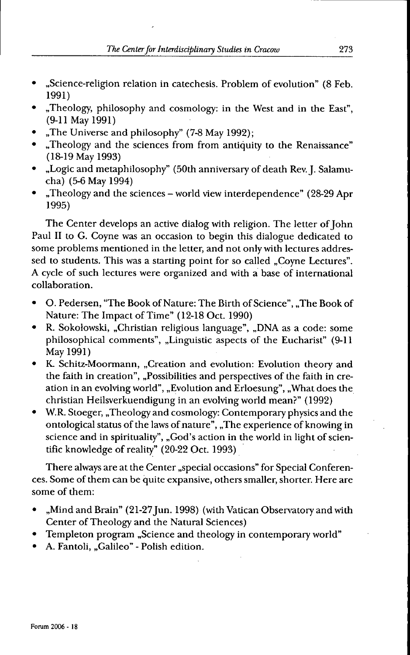- ,,Science-religion relation in catechesis. Problem of evolution" (8 Feb. 1991)
- ,,Theology, philosophy and cosmology: in the West and in the East", (9-11 May 1991)
- "The Universe and philosophy" (7-8 May 1992);
- ,,Theology and the sciences from from antiquity to the Renaissance" (18-19 May 1993)
- "Logic and metaphilosophy" (50th anniversary of death Rev. J. Salamucha) (5-6 May 1994)
- "Theology and the sciences world view interdependence" (28-29 Apr 1995)

The Center develops an active dialog with religion. The letter of John Paul II to G. Coyne was an occasion to begin this dialogue dedicated to some problems mentioned in the letter, and not only with lectures addressed to students. This was a starting point for so called "Coyne Lectures". A cycle of such lectures were organized and with a base of international collaboration.

- O. Pedersen, "The Book of Nature: The Birth of Science", ,,The Book of Nature: The Impact of Time" (12-18 Oct. 1990)
- R. Sokolowski, ,,Christian religious language", ,,DNA as a code: some philosophical comments", ,,Linguistic aspects of the Eucharist" (9-11 May 1991)
- K. Schitz-Moormann, "Creation and evolution: Evolution theory and the faith in creation", "Possibilities and perspectives of the faith in creation in an evolving world", ,,Evolution and Erloesung", ,,What does the Christian Heilsverkuendigung in an evolving world mean?" (1992)
- W.R. Stoeger, ,,Theology and cosmology: Contemporary physics and the ontological status of the laws of nature", ,,The experience of knowing in science and in spirituality", "God's action in the world in light of scientific knowledge of reality" (20-22 Oct. 1993)

There always are at the Center "special occasions" for Special Conferences. Some of them can be quite expansive, others smaller, shorter. Here are some of them:

- "Mind and Brain" (21-27 Jun. 1998) (with Vatican Observatory and with Center of Theology and the Natural Sciences)
- Templeton program ,,Science and theology in contemporary world"
- A. Fantoli, ,,Galileo" Polish edition.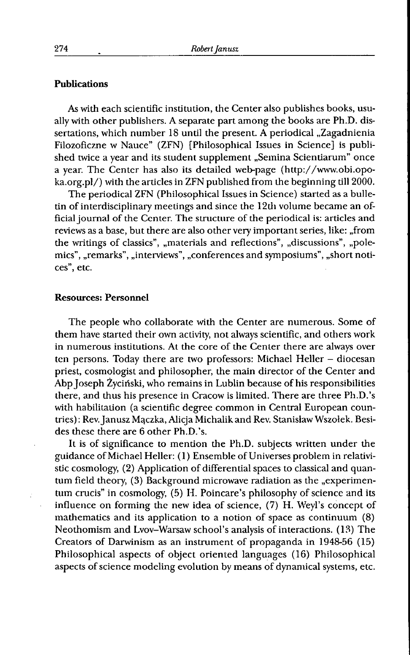### **Publications**

As with each scientific institution, the Center also publishes books, usually with other publishers. A separate part among the books are Ph.D. dissertations, which number 18 until the present. A periodical "Zagadnienia Filozoficzne w Nauce" (ZFN) [Philosophical Issues in Science] is published twice a year and its student supplement "Semina Scientiarum" once a year. The Center has also its detailed web-page (http://www.obi.opoka.org.pl/) with the articles in ZFN published from the beginning till 2000.

The periodical ZFN (Philosophical Issues in Science) started as a bulletin of interdisciplinary meetings and since the 12th volume became an official journal of the Center. The structure of the periodical is: articles and reviews as a base, but there are also other very important series, like: ,,from the writings of classics", "materials and reflections", "discussions", "polemics", "remarks", "interviews", "conferences and symposiums", "short notices", etc.

### **Resources: Personnel**

The people who collaborate with the Center are numerous. Some of them have started their own activity, not always scientific, and others work in numerous institutions. At the core of the Center there are always over ten persons. Today there are two professors: Michael Heller - diocesan priest, cosmologist and philosopher, the main director of the Center and Abp Joseph Zycinski, who remains in Lublin because of his responsibilities there, and thus his presence in Cracow is limited. There are three Ph.D.'s with habilitation (a scientific degree common in Central European countries) : Rev. Janusz Mqczka, Alicja Michalik and Rev. Stanislaw Wszolek. Besides these there are 6 other Ph.D.'s.

It is of significance to mention the Ph.D. subjects written under the guidance of Michael Heller: (1) Ensemble of Universes problem in relativistic cosmology, (2) Application of differential spaces to classical and quantum field theory, (3) Background microwave radiation as the "experimentum crucis" in cosmology, (5) H. Poincare's philosophy of science and its influence on forming the new idea of science, (7) H. Weyl's concept of mathematics and its application to a notion of space as continuum (8) Neothomism and Lvov-Warsaw school's analysis of interactions. (13) The Creators of Darwinism as an instrument of propaganda in 1948-56 (15) Philosophical aspects of object oriented languages (16) Philosophical aspects of science modeling evolution by means of dynamical systems, etc.